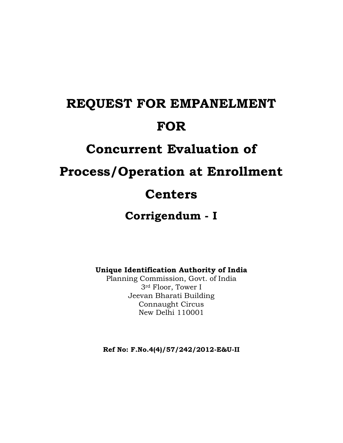# **REQUEST FOR EMPANELMENT FOR**

# **Concurrent Evaluation of**

# **Process/Operation at Enrollment**

# **Centers**

# **Corrigendum - I**

**Unique Identification Authority of India**

Planning Commission, Govt. of India 3rd Floor, Tower I Jeevan Bharati Building Connaught Circus New Delhi 110001

**Ref No: F.No.4(4)/57/242/2012-E&U-II**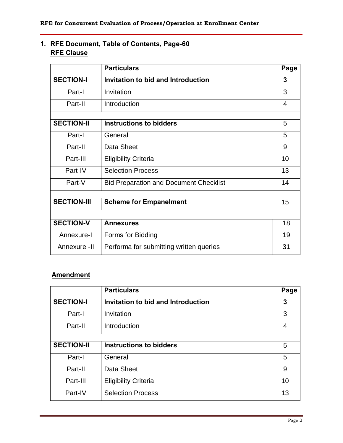### **1. RFE Document, Table of Contents, Page-60 RFE Clause**

|                    | <b>Particulars</b>                            | Page |  |  |
|--------------------|-----------------------------------------------|------|--|--|
| <b>SECTION-I</b>   | Invitation to bid and Introduction            |      |  |  |
| Part-I             | Invitation                                    | 3    |  |  |
| Part-II            | Introduction                                  | 4    |  |  |
|                    |                                               |      |  |  |
| <b>SECTION-II</b>  | Instructions to bidders                       | 5    |  |  |
| Part-I             | General                                       | 5    |  |  |
| Part-II            | Data Sheet                                    | 9    |  |  |
| Part-III           | <b>Eligibility Criteria</b>                   | 10   |  |  |
| Part-IV            | <b>Selection Process</b>                      | 13   |  |  |
| Part-V             | <b>Bid Preparation and Document Checklist</b> |      |  |  |
|                    |                                               |      |  |  |
| <b>SECTION-III</b> | <b>Scheme for Empanelment</b>                 | 15   |  |  |
|                    |                                               |      |  |  |
| <b>SECTION-V</b>   | <b>Annexures</b>                              | 18   |  |  |
| Annexure-I         | Forms for Bidding                             | 19   |  |  |
| Annexure -II       | Performa for submitting written queries       | 31   |  |  |

### **Amendment**

|                   | <b>Particulars</b>                 | Page |
|-------------------|------------------------------------|------|
| <b>SECTION-I</b>  | Invitation to bid and Introduction | 3    |
| Part-I            | Invitation                         | 3    |
| Part-II           | Introduction                       | 4    |
|                   |                                    |      |
| <b>SECTION-II</b> | Instructions to bidders            | 5    |
| Part-I            | General                            | 5    |
| Part-II           | Data Sheet                         | 9    |
| Part-III          | <b>Eligibility Criteria</b>        | 10   |
| Part-IV           | <b>Selection Process</b>           | 13   |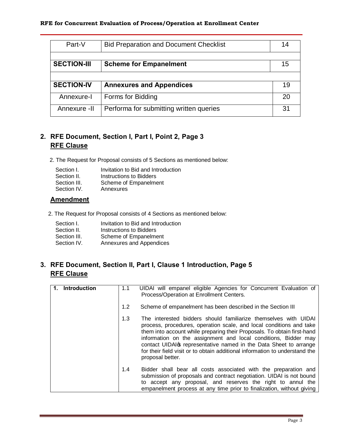| Part-V             | <b>Bid Preparation and Document Checklist</b> |    |  |
|--------------------|-----------------------------------------------|----|--|
| <b>SECTION-III</b> | <b>Scheme for Empanelment</b>                 | 15 |  |
|                    |                                               |    |  |
| <b>SECTION-IV</b>  | <b>Annexures and Appendices</b>               | 19 |  |
|                    |                                               |    |  |
| Annexure-I         | Forms for Bidding                             | 20 |  |
| Annexure -II       | Performa for submitting written queries       | 31 |  |

#### **2. RFE Document, Section I, Part I, Point 2, Page 3 RFE Clause**

2. The Request for Proposal consists of 5 Sections as mentioned below:

| Section I.   | Invitation to Bid and Introduction |
|--------------|------------------------------------|
| Section II.  | Instructions to Bidders            |
| Section III. | Scheme of Empanelment              |
| Section IV.  | Annexures                          |

#### **Amendment**

2. The Request for Proposal consists of 4 Sections as mentioned below:

| Section I.   | Invitation to Bid and Introduction |
|--------------|------------------------------------|
| Section II.  | Instructions to Bidders            |
| Section III. | Scheme of Empanelment              |
| Section IV.  | Annexures and Appendices           |
|              |                                    |

#### **3. RFE Document, Section II, Part I, Clause 1 Introduction, Page 5 RFE Clause**

| Introduction | 1.1 | UIDAI will empanel eligible Agencies for Concurrent Evaluation of<br>Process/Operation at Enrollment Centers.                                                                                                                                                                                                                                                                                                                                                |
|--------------|-----|--------------------------------------------------------------------------------------------------------------------------------------------------------------------------------------------------------------------------------------------------------------------------------------------------------------------------------------------------------------------------------------------------------------------------------------------------------------|
|              | 1.2 | Scheme of empanelment has been described in the Section III                                                                                                                                                                                                                                                                                                                                                                                                  |
|              | 1.3 | The interested bidders should familiarize themselves with UIDAI<br>process, procedures, operation scale, and local conditions and take<br>them into account while preparing their Proposals. To obtain first-hand<br>information on the assignment and local conditions, Bidder may<br>contact UIDAI of representative named in the Data Sheet to arrange<br>for their field visit or to obtain additional information to understand the<br>proposal better. |
|              | 1.4 | Bidder shall bear all costs associated with the preparation and<br>submission of proposals and contract negotiation. UIDAI is not bound<br>to accept any proposal, and reserves the right to annul the<br>empanelment process at any time prior to finalization, without giving                                                                                                                                                                              |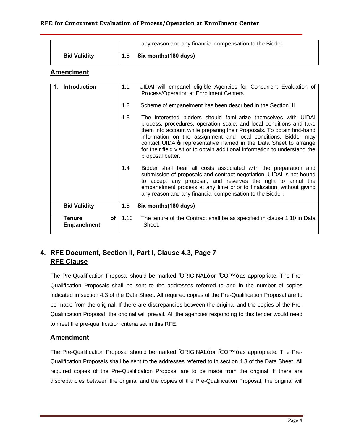|                     |     | any reason and any financial compensation to the Bidder. |
|---------------------|-----|----------------------------------------------------------|
| <b>Bid Validity</b> | 1.5 | Six months(180 days)                                     |

#### **Amendment**

| <b>Introduction</b>                                    | 1.1  | UIDAI will empanel eligible Agencies for Concurrent Evaluation of<br>Process/Operation at Enrollment Centers.                                                                                                                                                                                                                                                                                                                                                |
|--------------------------------------------------------|------|--------------------------------------------------------------------------------------------------------------------------------------------------------------------------------------------------------------------------------------------------------------------------------------------------------------------------------------------------------------------------------------------------------------------------------------------------------------|
|                                                        | 1.2  | Scheme of empanelment has been described in the Section III                                                                                                                                                                                                                                                                                                                                                                                                  |
|                                                        | 1.3  | The interested bidders should familiarize themselves with UIDAI<br>process, procedures, operation scale, and local conditions and take<br>them into account while preparing their Proposals. To obtain first-hand<br>information on the assignment and local conditions, Bidder may<br>contact UIDAI of representative named in the Data Sheet to arrange<br>for their field visit or to obtain additional information to understand the<br>proposal better. |
|                                                        | 1.4  | Bidder shall bear all costs associated with the preparation and<br>submission of proposals and contract negotiation. UIDAI is not bound<br>to accept any proposal, and reserves the right to annul the<br>empanelment process at any time prior to finalization, without giving<br>any reason and any financial compensation to the Bidder.                                                                                                                  |
| <b>Bid Validity</b>                                    | 1.5  | Six months (180 days)                                                                                                                                                                                                                                                                                                                                                                                                                                        |
| of <sub>l</sub><br><b>Tenure</b><br><b>Empanelment</b> | 1.10 | The tenure of the Contract shall be as specified in clause 1.10 in Data<br>Sheet.                                                                                                                                                                                                                                                                                                                                                                            |

### **4. RFE Document, Section II, Part I, Clause 4.3, Page 7 RFE Clause**

The Pre-Qualification Proposal should be marked %QRIGINAL+ or %COPY+ as appropriate. The Pre-Qualification Proposals shall be sent to the addresses referred to and in the number of copies indicated in section 4.3 of the Data Sheet. All required copies of the Pre-Qualification Proposal are to be made from the original. If there are discrepancies between the original and the copies of the Pre-Qualification Proposal, the original will prevail. All the agencies responding to this tender would need to meet the pre-qualification criteria set in this RFE.

#### **Amendment**

The Pre-Qualification Proposal should be marked %QRIGINAL+ or %COPY+ as appropriate. The Pre-Qualification Proposals shall be sent to the addresses referred to in section 4.3 of the Data Sheet. All required copies of the Pre-Qualification Proposal are to be made from the original. If there are discrepancies between the original and the copies of the Pre-Qualification Proposal, the original will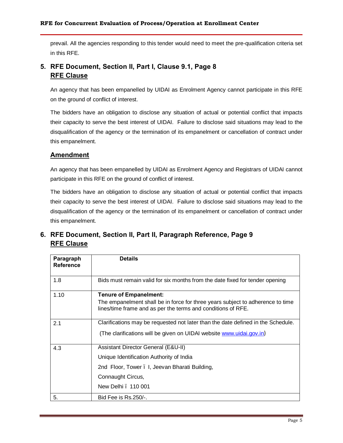prevail. All the agencies responding to this tender would need to meet the pre-qualification criteria set in this RFE.

#### **5. RFE Document, Section II, Part I, Clause 9.1, Page 8 RFE Clause**

An agency that has been empanelled by UIDAI as Enrolment Agency cannot participate in this RFE on the ground of conflict of interest.

The bidders have an obligation to disclose any situation of actual or potential conflict that impacts their capacity to serve the best interest of UIDAI. Failure to disclose said situations may lead to the disqualification of the agency or the termination of its empanelment or cancellation of contract under this empanelment.

#### **Amendment**

An agency that has been empanelled by UIDAI as Enrolment Agency and Registrars of UIDAI cannot participate in this RFE on the ground of conflict of interest.

The bidders have an obligation to disclose any situation of actual or potential conflict that impacts their capacity to serve the best interest of UIDAI. Failure to disclose said situations may lead to the disqualification of the agency or the termination of its empanelment or cancellation of contract under this empanelment.

#### **6. RFE Document, Section II, Part II, Paragraph Reference, Page 9 RFE Clause**

| Paragraph<br><b>Reference</b> | <b>Details</b>                                                                                                                                 |
|-------------------------------|------------------------------------------------------------------------------------------------------------------------------------------------|
| 1.8                           | Bids must remain valid for six months from the date fixed for tender opening                                                                   |
| 1.10                          | <b>Tenure of Empanelment:</b>                                                                                                                  |
|                               | The empanelment shall be in force for three years subject to adherence to time<br>lines/time frame and as per the terms and conditions of RFE. |
| 2.1                           | Clarifications may be requested not later than the date defined in the Schedule.                                                               |
|                               | (The clarifications will be given on UIDAI website www.uidai.gov.in)                                                                           |
| 4.3                           | Assistant Director General (E&U-II)                                                                                                            |
|                               | Unique Identification Authority of India                                                                                                       |
|                               | 2nd Floor, Tower . I, Jeevan Bharati Building,                                                                                                 |
|                               | Connaught Circus,                                                                                                                              |
|                               | New Delhi . 110 001                                                                                                                            |
| 5.                            | Bid Fee is Rs.250/-.                                                                                                                           |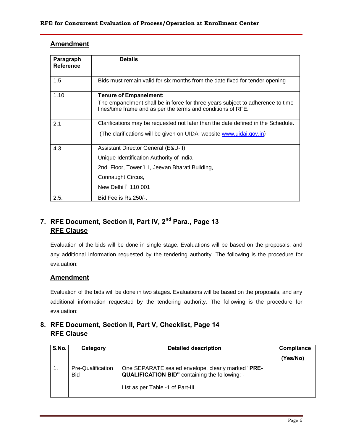| Amendment |
|-----------|
|-----------|

| Paragraph<br><b>Reference</b> | <b>Details</b>                                                                                                                                 |
|-------------------------------|------------------------------------------------------------------------------------------------------------------------------------------------|
| 1.5                           | Bids must remain valid for six months from the date fixed for tender opening                                                                   |
| 1.10                          | <b>Tenure of Empanelment:</b>                                                                                                                  |
|                               | The empanelment shall be in force for three years subject to adherence to time<br>lines/time frame and as per the terms and conditions of RFE. |
| 2.1                           | Clarifications may be requested not later than the date defined in the Schedule.                                                               |
|                               | (The clarifications will be given on UIDAI website www.uidai.gov.in)                                                                           |
| 4.3                           | Assistant Director General (E&U-II)                                                                                                            |
|                               | Unique Identification Authority of India                                                                                                       |
|                               | 2nd Floor, Tower . I, Jeevan Bharati Building,                                                                                                 |
|                               | Connaught Circus,                                                                                                                              |
|                               | New Delhi . 110 001                                                                                                                            |
| 2.5.                          | Bid Fee is Rs.250/-.                                                                                                                           |

### **7. RFE Document, Section II, Part IV, 2nd Para., Page 13 RFE Clause**

Evaluation of the bids will be done in single stage. Evaluations will be based on the proposals, and any additional information requested by the tendering authority. The following is the procedure for evaluation:

#### **Amendment**

Evaluation of the bids will be done in two stages. Evaluations will be based on the proposals, and any additional information requested by the tendering authority. The following is the procedure for evaluation:

#### **8. RFE Document, Section II, Part V, Checklist, Page 14 RFE Clause**

| S.No. | Category                        | <b>Detailed description</b>                                                                                                                      | Compliance |
|-------|---------------------------------|--------------------------------------------------------------------------------------------------------------------------------------------------|------------|
|       |                                 |                                                                                                                                                  | (Yes/No)   |
|       | Pre-Qualification<br><b>Bid</b> | One SEPARATE sealed envelope, clearly marked "PRE-<br><b>QUALIFICATION BID"</b> containing the following: -<br>List as per Table -1 of Part-III. |            |
|       |                                 |                                                                                                                                                  |            |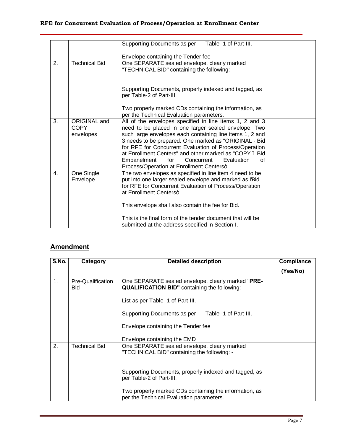|                                          | Table -1 of Part-III.<br>Supporting Documents as per                                                                                                                                                                                                                                                                                                                                                                                                         |                                                                                                  |
|------------------------------------------|--------------------------------------------------------------------------------------------------------------------------------------------------------------------------------------------------------------------------------------------------------------------------------------------------------------------------------------------------------------------------------------------------------------------------------------------------------------|--------------------------------------------------------------------------------------------------|
|                                          | Envelope containing the Tender fee                                                                                                                                                                                                                                                                                                                                                                                                                           |                                                                                                  |
| <b>Technical Bid</b>                     | "TECHNICAL BID" containing the following: -                                                                                                                                                                                                                                                                                                                                                                                                                  |                                                                                                  |
|                                          | Supporting Documents, properly indexed and tagged, as<br>per Table-2 of Part-III.                                                                                                                                                                                                                                                                                                                                                                            |                                                                                                  |
|                                          | Two properly marked CDs containing the information, as<br>per the Technical Evaluation parameters.                                                                                                                                                                                                                                                                                                                                                           |                                                                                                  |
| ORIGINAL and<br><b>COPY</b><br>envelopes | All of the envelopes specified in line items 1, 2 and 3<br>need to be placed in one larger sealed envelope. Two<br>such large envelopes each containing line items 1, 2 and<br>3 needs to be prepared. One marked as "ORIGINAL - Bid<br>for RFE for Concurrent Evaluation of Process/Operation<br>at Enrollment Centers" and other marked as "COPY . Bid<br>Empanelment<br>for<br>Concurrent<br>Evaluation<br>οf<br>Process/Operation at Enrollment Centers+ |                                                                                                  |
| One Single<br>Envelope                   | The two envelopes as specified in line item 4 need to be<br>put into one larger sealed envelope and marked as % aid<br>for RFE for Concurrent Evaluation of Process/Operation<br>at Enrollment Centers+<br>This envelope shall also contain the fee for Bid.<br>This is the final form of the tender document that will be                                                                                                                                   |                                                                                                  |
|                                          |                                                                                                                                                                                                                                                                                                                                                                                                                                                              | One SEPARATE sealed envelope, clearly marked<br>submitted at the address specified in Section-I. |

## **Amendment**

| S.No. | Category                        | <b>Detailed description</b>                                                                                 | Compliance |
|-------|---------------------------------|-------------------------------------------------------------------------------------------------------------|------------|
|       |                                 |                                                                                                             | (Yes/No)   |
| 1.    | Pre-Qualification<br><b>Bid</b> | One SEPARATE sealed envelope, clearly marked "PRE-<br><b>QUALIFICATION BID"</b> containing the following: - |            |
|       |                                 | List as per Table -1 of Part-III.                                                                           |            |
|       |                                 | Supporting Documents as per<br>Table -1 of Part-III.                                                        |            |
|       |                                 | Envelope containing the Tender fee                                                                          |            |
|       |                                 | Envelope containing the EMD                                                                                 |            |
| 2.    | Technical Bid                   | One SEPARATE sealed envelope, clearly marked<br>"TECHNICAL BID" containing the following: -                 |            |
|       |                                 | Supporting Documents, properly indexed and tagged, as<br>per Table-2 of Part-III.                           |            |
|       |                                 | Two properly marked CDs containing the information, as<br>per the Technical Evaluation parameters.          |            |